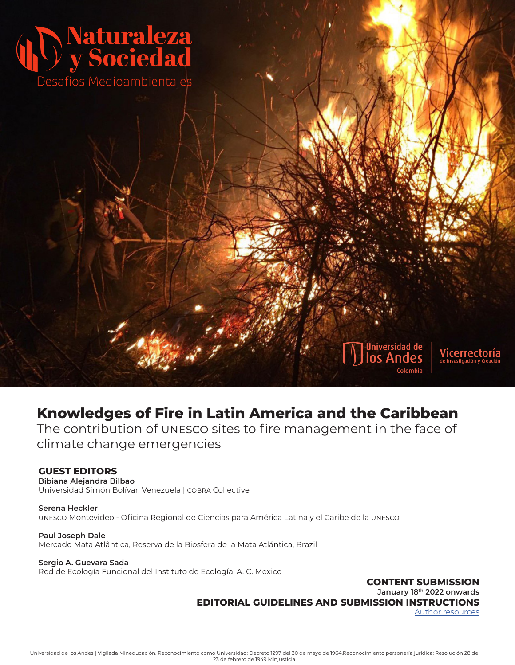

# **Knowledges of Fire in Latin America and the Caribbean**

The contribution of unesco sites to fire management in the face of climate change emergencies

#### **GUEST EDITORS**

**Bibiana Alejandra Bilbao** Universidad Simón Bolívar, Venezuela | cobra Collective

**Serena Heckler** unesco Montevideo - Oficina Regional de Ciencias para América Latina y el Caribe de la unesco

**Paul Joseph Dale** Mercado Mata Atlântica, Reserva de la Biosfera de la Mata Atlántica, Brazil

#### **Sergio A. Guevara Sada**

Red de Ecología Funcional del Instituto de Ecología, A. C. Mexico

**CONTENT SUBMISSION**

**January 18th 2022 onwards**

**EDITORIAL GUIDELINES AND SUBMISSION INSTRUCTIONS**

[Author resources](https://revistas.uniandes.edu.co/for-authors/nys/article-prep)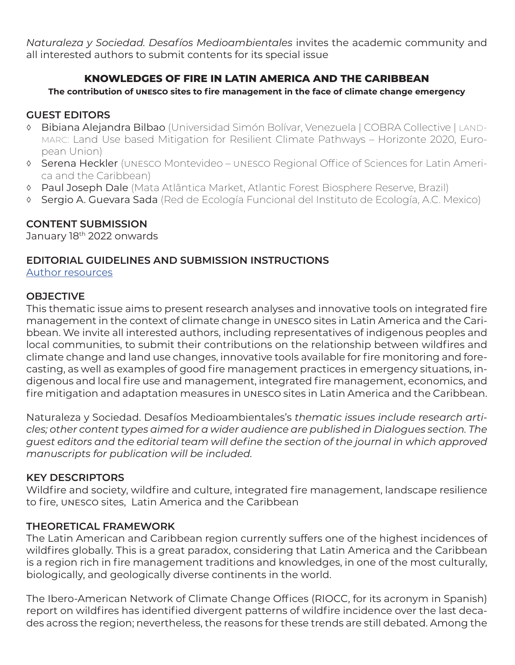*Naturaleza y Sociedad. Desafíos Medioambientales* invites the academic community and all interested authors to submit contents for its special issue

## **KNOWLEDGES OF FIRE IN LATIN AMERICA AND THE CARIBBEAN**

#### **The contribution of unesco sites to fire management in the face of climate change emergency**

## **GUEST EDITORS**

- ◊ Bibiana Alejandra Bilbao (Universidad Simón Bolívar, Venezuela | COBRA Collective | landmarc: Land Use based Mitigation for Resilient Climate Pathways – Horizonte 2020, European Union)
- ◊ Serena Heckler (unesco Montevideo unesco Regional Office of Sciences for Latin America and the Caribbean)
- ◊ Paul Joseph Dale (Mata Atlântica Market, Atlantic Forest Biosphere Reserve, Brazil)
- ◊ Sergio A. Guevara Sada (Red de Ecología Funcional del Instituto de Ecología, A.C. Mexico)

## **CONTENT SUBMISSION**

January 18<sup>th</sup> 2022 onwards

## **EDITORIAL GUIDELINES AND SUBMISSION INSTRUCTIONS**

[Author resources](https://revistas.uniandes.edu.co/for-authors/nys/article-prep)

#### **OBJECTIVE**

This thematic issue aims to present research analyses and innovative tools on integrated fire management in the context of climate change in unesco sites in Latin America and the Caribbean. We invite all interested authors, including representatives of indigenous peoples and local communities, to submit their contributions on the relationship between wildfires and climate change and land use changes, innovative tools available for fire monitoring and forecasting, as well as examples of good fire management practices in emergency situations, indigenous and local fire use and management, integrated fire management, economics, and fire mitigation and adaptation measures in unesco sites in Latin America and the Caribbean.

Naturaleza y Sociedad. Desafíos Medioambientales's *thematic issues include research articles; other content types aimed for a wider audience are published in Dialogues section. The guest editors and the editorial team will define the section of the journal in which approved manuscripts for publication will be included.*

## **KEY DESCRIPTORS**

Wildfire and society, wildfire and culture, integrated fire management, landscape resilience to fire, unesco sites, Latin America and the Caribbean

## **THEORETICAL FRAMEWORK**

The Latin American and Caribbean region currently suffers one of the highest incidences of wildfires globally. This is a great paradox, considering that Latin America and the Caribbean is a region rich in fire management traditions and knowledges, in one of the most culturally, biologically, and geologically diverse continents in the world.

The Ibero-American Network of Climate Change Offices (RIOCC, for its acronym in Spanish) report on wildfires has identified divergent patterns of wildfire incidence over the last decades across the region; nevertheless, the reasons for these trends are still debated. Among the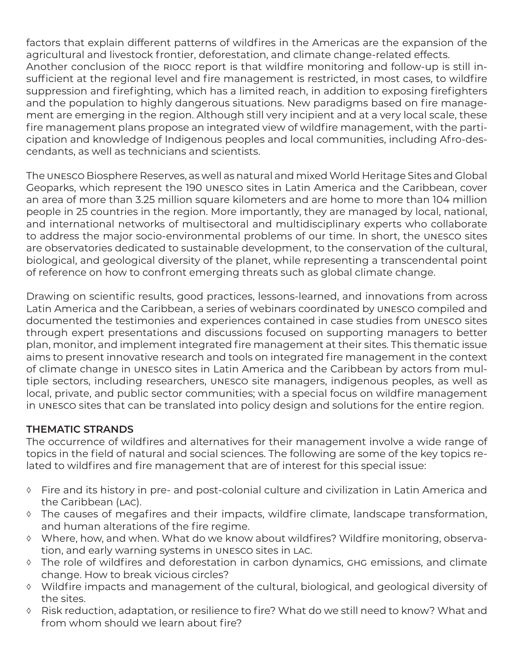factors that explain different patterns of wildfires in the Americas are the expansion of the agricultural and livestock frontier, deforestation, and climate change-related effects. Another conclusion of the riocc report is that wildfire monitoring and follow-up is still insufficient at the regional level and fire management is restricted, in most cases, to wildfire suppression and firefighting, which has a limited reach, in addition to exposing firefighters and the population to highly dangerous situations. New paradigms based on fire management are emerging in the region. Although still very incipient and at a very local scale, these fire management plans propose an integrated view of wildfire management, with the participation and knowledge of Indigenous peoples and local communities, including Afro-descendants, as well as technicians and scientists.

The unesco Biosphere Reserves, as well as natural and mixed World Heritage Sites and Global Geoparks, which represent the 190 unesco sites in Latin America and the Caribbean, cover an area of more than 3.25 million square kilometers and are home to more than 104 million people in 25 countries in the region. More importantly, they are managed by local, national, and international networks of multisectoral and multidisciplinary experts who collaborate to address the major socio-environmental problems of our time. In short, the unesco sites are observatories dedicated to sustainable development, to the conservation of the cultural, biological, and geological diversity of the planet, while representing a transcendental point of reference on how to confront emerging threats such as global climate change.

Drawing on scientific results, good practices, lessons-learned, and innovations from across Latin America and the Caribbean, a series of webinars coordinated by unesco compiled and documented the testimonies and experiences contained in case studies from unesco sites through expert presentations and discussions focused on supporting managers to better plan, monitor, and implement integrated fire management at their sites. This thematic issue aims to present innovative research and tools on integrated fire management in the context of climate change in unesco sites in Latin America and the Caribbean by actors from multiple sectors, including researchers, unesco site managers, indigenous peoples, as well as local, private, and public sector communities; with a special focus on wildfire management in unesco sites that can be translated into policy design and solutions for the entire region.

## **THEMATIC STRANDS**

The occurrence of wildfires and alternatives for their management involve a wide range of topics in the field of natural and social sciences. The following are some of the key topics related to wildfires and fire management that are of interest for this special issue:

- ◊ Fire and its history in pre- and post-colonial culture and civilization in Latin America and the Caribbean (LAC).
- ◊ The causes of megafires and their impacts, wildfire climate, landscape transformation, and human alterations of the fire regime.
- ◊ Where, how, and when. What do we know about wildfires? Wildfire monitoring, observation, and early warning systems in unesco sites in lac.
- ◊ The role of wildfires and deforestation in carbon dynamics, ghg emissions, and climate change. How to break vicious circles?
- ◊ Wildfire impacts and management of the cultural, biological, and geological diversity of the sites.
- ◊ Risk reduction, adaptation, or resilience to fire? What do we still need to know? What and from whom should we learn about fire?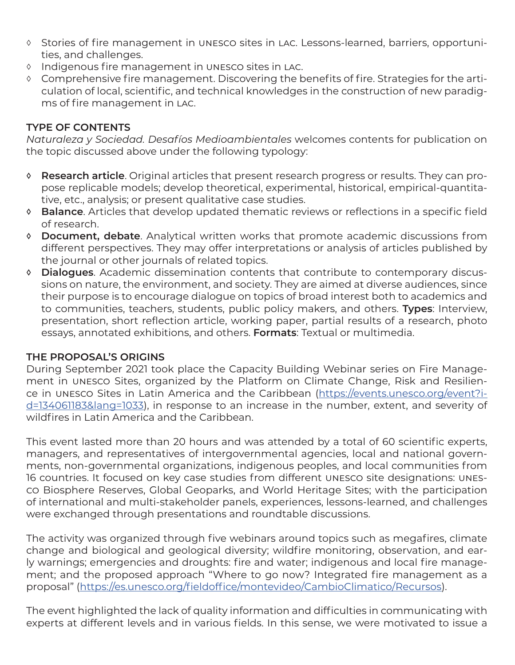- ◊ Stories of fire management in unesco sites in lac. Lessons-learned, barriers, opportunities, and challenges.
- ◊ Indigenous fire management in unesco sites in lac.
- ◊ Comprehensive fire management. Discovering the benefits of fire. Strategies for the articulation of local, scientific, and technical knowledges in the construction of new paradigms of fire management in lac.

#### **TYPE OF CONTENTS**

*Naturaleza y Sociedad. Desafíos Medioambientales* welcomes contents for publication on the topic discussed above under the following typology:

- **◊ Research article**. Original articles that present research progress or results. They can propose replicable models; develop theoretical, experimental, historical, empirical-quantitative, etc., analysis; or present qualitative case studies.
- **◊ Balance**. Articles that develop updated thematic reviews or reflections in a specific field of research.
- **◊ Document, debate**. Analytical written works that promote academic discussions from different perspectives. They may offer interpretations or analysis of articles published by the journal or other journals of related topics.
- **◊ Dialogues**. Academic dissemination contents that contribute to contemporary discussions on nature, the environment, and society. They are aimed at diverse audiences, since their purpose is to encourage dialogue on topics of broad interest both to academics and to communities, teachers, students, public policy makers, and others. **Types**: Interview, presentation, short reflection article, working paper, partial results of a research, photo essays, annotated exhibitions, and others. **Formats**: Textual or multimedia.

#### **THE PROPOSAL'S ORIGINS**

During September 2021 took place the Capacity Building Webinar series on Fire Management in unesco Sites, organized by the Platform on Climate Change, Risk and Resilience in unesco Sites in Latin America and the Caribbean ([https://events.unesco.org/event?i](https://events.unesco.org/event?id=134061183&lang=1033)[d=134061183&lang=1033\)](https://events.unesco.org/event?id=134061183&lang=1033), in response to an increase in the number, extent, and severity of wildfires in Latin America and the Caribbean.

This event lasted more than 20 hours and was attended by a total of 60 scientific experts, managers, and representatives of intergovernmental agencies, local and national governments, non-governmental organizations, indigenous peoples, and local communities from 16 countries. It focused on key case studies from different unesco site designations: unesco Biosphere Reserves, Global Geoparks, and World Heritage Sites; with the participation of international and multi-stakeholder panels, experiences, lessons-learned, and challenges were exchanged through presentations and roundtable discussions.

The activity was organized through five webinars around topics such as megafires, climate change and biological and geological diversity; wildfire monitoring, observation, and early warnings; emergencies and droughts: fire and water; indigenous and local fire management; and the proposed approach "Where to go now? Integrated fire management as a proposal" [\(https://es.unesco.org/fieldoffice/montevideo/CambioClimatico/Recursos](https://es.unesco.org/fieldoffice/montevideo/CambioClimatico/Recursos)).

The event highlighted the lack of quality information and difficulties in communicating with experts at different levels and in various fields. In this sense, we were motivated to issue a